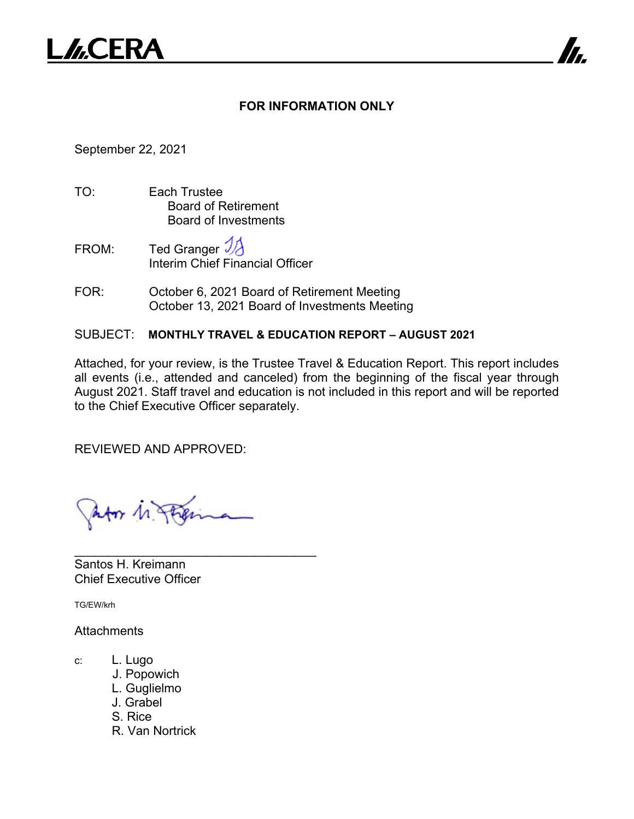

## **FOR INFORMATION ONLY**

7

September 22, 2021

- TO: Each Trustee Board of Retirement Board of Investments
- FROM: Ted Granger  $\mathcal{V}$ Interim Chief Financial Officer
- FOR: October 6, 2021 Board of Retirement Meeting October 13, 2021 Board of Investments Meeting

## SUBJECT: **MONTHLY TRAVEL & EDUCATION REPORT – AUGUST 2021**

Attached, for your review, is the Trustee Travel & Education Report. This report includes all events (i.e., attended and canceled) from the beginning of the fiscal year through August 2021. Staff travel and education is not included in this report and will be reported to the Chief Executive Officer separately.

REVIEWED AND APPROVED:

Ator 1. Page

\_\_\_\_\_\_\_\_\_\_\_\_\_\_\_\_\_\_\_\_\_\_\_\_\_\_\_\_\_\_\_\_\_\_\_

Santos H. Kreimann Chief Executive Officer

TG/EW/krh

## **Attachments**

- c: L. Lugo
	- J. Popowich
	- L. Guglielmo
	- J. Grabel
	- S. Rice
	- R. Van Nortrick